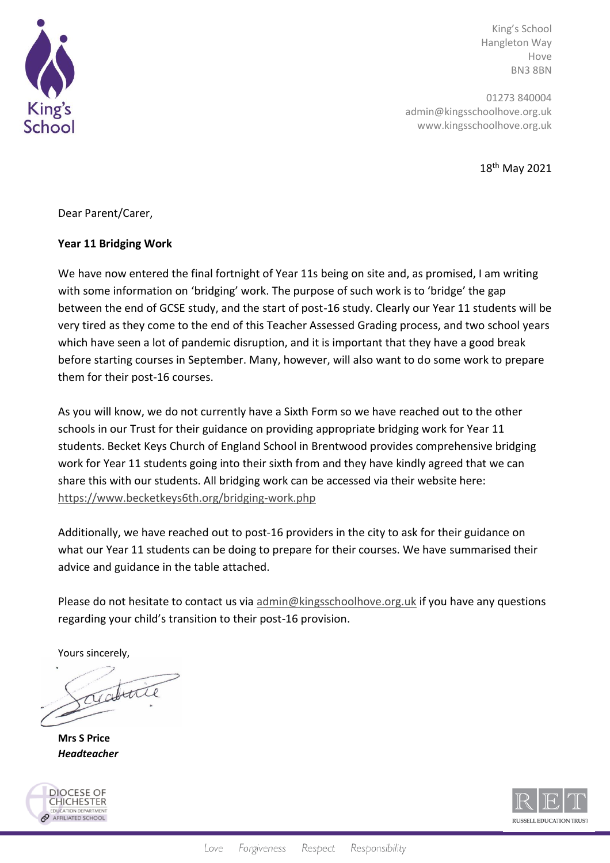

King's School Hangleton Way Hove BN3 8BN

01273 840004 admin@kingsschoolhove.org.uk www.kingsschoolhove.org.uk

18th May 2021

Dear Parent/Carer,

## **Year 11 Bridging Work**

We have now entered the final fortnight of Year 11s being on site and, as promised, I am writing with some information on 'bridging' work. The purpose of such work is to 'bridge' the gap between the end of GCSE study, and the start of post-16 study. Clearly our Year 11 students will be very tired as they come to the end of this Teacher Assessed Grading process, and two school years which have seen a lot of pandemic disruption, and it is important that they have a good break before starting courses in September. Many, however, will also want to do some work to prepare them for their post-16 courses.

As you will know, we do not currently have a Sixth Form so we have reached out to the other schools in our Trust for their guidance on providing appropriate bridging work for Year 11 students. Becket Keys Church of England School in Brentwood provides comprehensive bridging work for Year 11 students going into their sixth from and they have kindly agreed that we can share this with our students. All bridging work can be accessed via their website here: <https://www.becketkeys6th.org/bridging-work.php>

Additionally, we have reached out to post-16 providers in the city to ask for their guidance on what our Year 11 students can be doing to prepare for their courses. We have summarised their advice and guidance in the table attached.

Please do not hesitate to contact us via [admin@kingsschoolhove.org.uk](mailto:admin@kingsschoolhove.org.uk) if you have any questions regarding your child's transition to their post-16 provision.

Yours sincerely,

araturic

**Mrs S Price** *Headteacher*